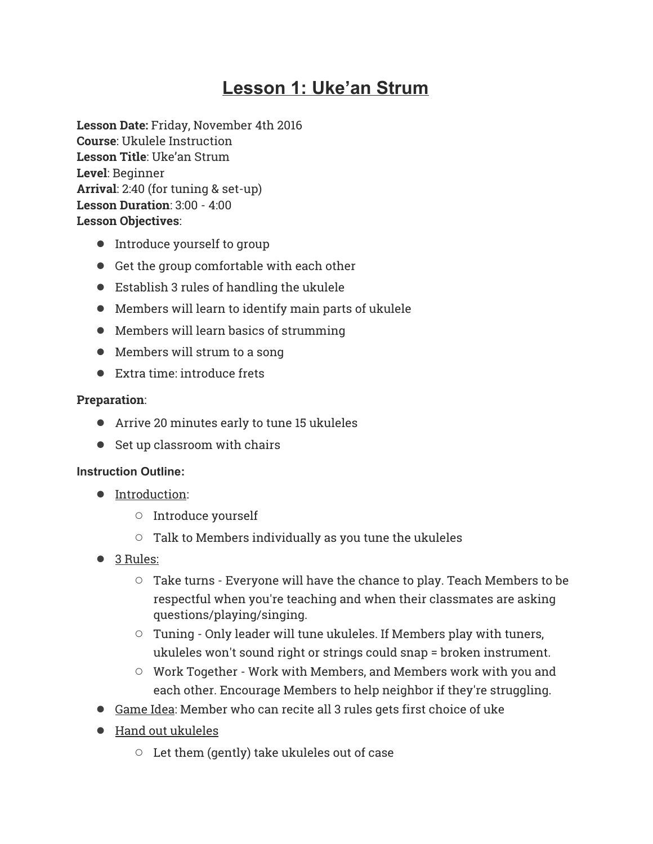# **Lesson 1: Uke'an Strum**

**Lesson Date:** Friday, November 4th 2016 **Course**: Ukulele Instruction **Lesson Title**: Uke'an Strum **Level**: Beginner **Arrival**: 2:40 (for tuning & set-up) **Lesson Duration**: 3:00 - 4:00 **Lesson Objectives**:

- Introduce yourself to group
- Get the group comfortable with each other
- Establish 3 rules of handling the ukulele
- Members will learn to identify main parts of ukulele
- Members will learn basics of strumming
- Members will strum to a song
- Extra time: introduce frets

### **Preparation**:

- Arrive 20 minutes early to tune 15 ukuleles
- Set up classroom with chairs

### **Instruction Outline:**

- Introduction:
	- Introduce yourself
	- $\circ$  Talk to Members individually as you tune the ukuleles
- 3 Rules:
	- Take turns Everyone will have the chance to play. Teach Members to be respectful when you're teaching and when their classmates are asking questions/playing/singing.
	- Tuning Only leader will tune ukuleles. If Members play with tuners, ukuleles won't sound right or strings could snap = broken instrument.
	- Work Together Work with Members, and Members work with you and each other. Encourage Members to help neighbor if they're struggling.
- Game Idea: Member who can recite all 3 rules gets first choice of uke
- Hand out ukuleles
	- Let them (gently) take ukuleles out of case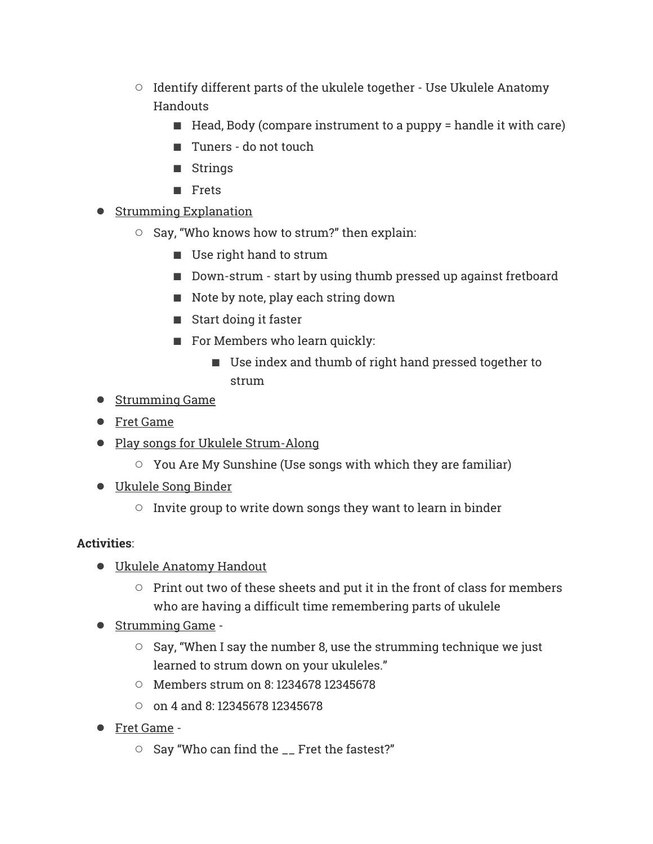- Identify different parts of the ukulele together Use Ukulele Anatomy Handouts
	- Head, Body (compare instrument to a puppy = handle it with care)
	- Tuners do not touch
	- Strings
	- Frets
- Strumming Explanation
	- Say, "Who knows how to strum?" then explain:
		- Use right hand to strum
		- Down-strum start by using thumb pressed up against fretboard
		- Note by note, play each string down
		- Start doing it faster
		- For Members who learn quickly:
			- Use index and thumb of right hand pressed together to strum
- Strumming Game
- Fret Game
- Play songs for Ukulele Strum-Along
	- You Are My Sunshine (Use songs with which they are familiar)
- Ukulele Song Binder
	- $\circ$  Invite group to write down songs they want to learn in binder

# **Activities**:

- Ukulele Anatomy Handout
	- Print out two of these sheets and put it in the front of class for members who are having a difficult time remembering parts of ukulele
- Strumming Game -
	- Say, "When I say the number 8, use the strumming technique we just learned to strum down on your ukuleles."
	- Members strum on 8: 1234678 12345678
	- on 4 and 8: 12345678 12345678
- Fret Game
	- Say "Who can find the \_\_ Fret the fastest?"